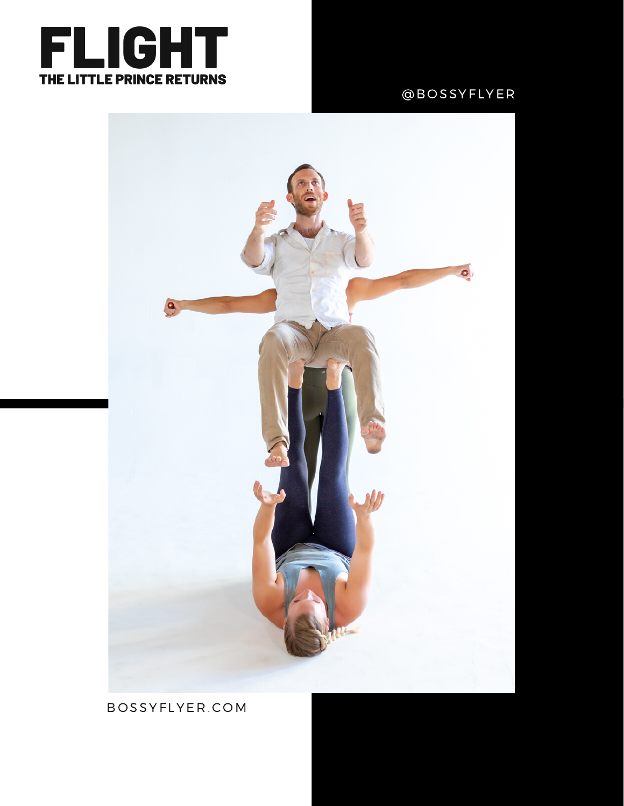

#### @B O SSYF LYE R



B O [SSYF](http://www.bossyflyer.com/three.html) LYE R . C OM